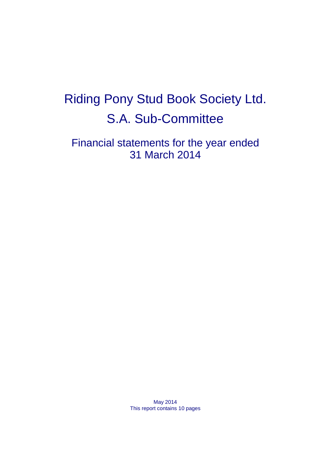# Riding Pony Stud Book Society Ltd. S.A. Sub-Committee

Financial statements for the year ended 31 March 2014

> May 2014 This report contains 10 pages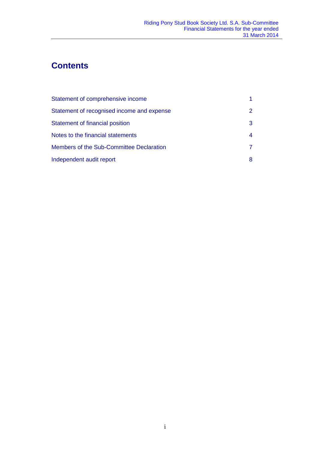# **Contents**

| Statement of comprehensive income          |               |
|--------------------------------------------|---------------|
| Statement of recognised income and expense | $\mathcal{P}$ |
| Statement of financial position            | 3             |
| Notes to the financial statements          | 4             |
| Members of the Sub-Committee Declaration   | 7             |
| Independent audit report                   | 8             |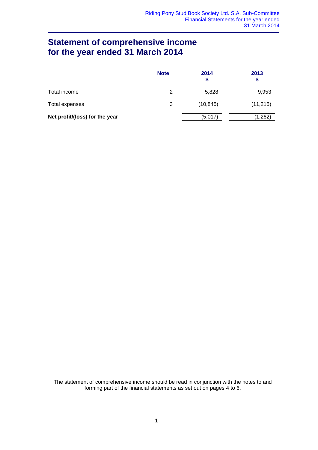### **Statement of comprehensive income for the year ended 31 March 2014**

|                                | <b>Note</b> | 2014<br>S | 2013<br>S |
|--------------------------------|-------------|-----------|-----------|
| Total income                   | 2           | 5,828     | 9,953     |
| Total expenses                 | 3           | (10, 845) | (11, 215) |
| Net profit/(loss) for the year |             | (5,017)   | (1,262)   |

The statement of comprehensive income should be read in conjunction with the notes to and forming part of the financial statements as set out on pages 4 to 6.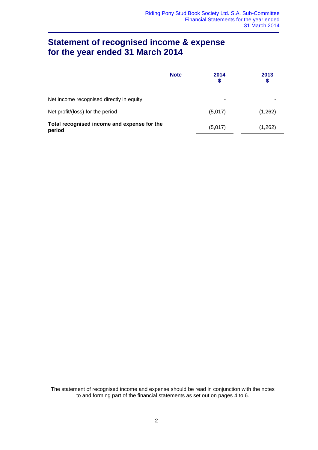### **Statement of recognised income & expense for the year ended 31 March 2014**

|                                                       | <b>Note</b> | 2014<br>\$ | 2013<br>\$ |
|-------------------------------------------------------|-------------|------------|------------|
| Net income recognised directly in equity              |             | ۰          |            |
| Net profit/(loss) for the period                      |             | (5,017)    | (1,262)    |
| Total recognised income and expense for the<br>period |             | (5,017)    | (1,262)    |

The statement of recognised income and expense should be read in conjunction with the notes to and forming part of the financial statements as set out on pages 4 to 6.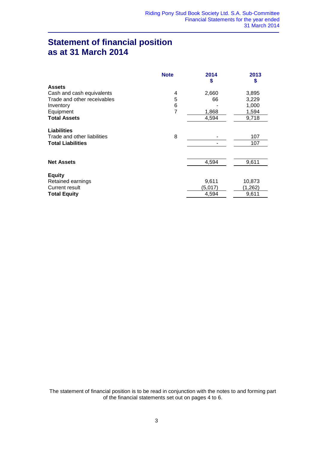### **Statement of financial position as at 31 March 2014**

|                             | <b>Note</b> | 2014<br>\$ | 2013<br>\$ |
|-----------------------------|-------------|------------|------------|
| <b>Assets</b>               |             |            |            |
| Cash and cash equivalents   | 4           | 2,660      | 3,895      |
| Trade and other receivables | 5           | 66         | 3,229      |
| Inventory                   | 6           |            | 1,000      |
| Equipment                   | 7           | 1,868      | 1,594      |
| <b>Total Assets</b>         |             | 4,594      | 9,718      |
| <b>Liabilities</b>          |             |            |            |
| Trade and other liabilities | 8           |            | 107        |
| <b>Total Liabilities</b>    |             |            | 107        |
|                             |             |            |            |
| <b>Net Assets</b>           |             | 4,594      | 9,611      |
|                             |             |            |            |
| <b>Equity</b>               |             |            |            |
| Retained earnings           |             | 9,611      | 10,873     |
| Current result              |             | (5,017)    | (1,262)    |
| <b>Total Equity</b>         |             | 4,594      | 9,611      |

The statement of financial position is to be read in conjunction with the notes to and forming part of the financial statements set out on pages 4 to 6.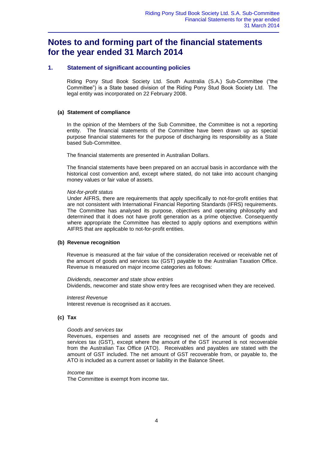### **Notes to and forming part of the financial statements for the year ended 31 March 2014**

### **1. Statement of significant accounting policies**

Riding Pony Stud Book Society Ltd. South Australia (S.A.) Sub-Committee ("the Committee") is a State based division of the Riding Pony Stud Book Society Ltd. The legal entity was incorporated on 22 February 2008.

### **(a) Statement of compliance**

In the opinion of the Members of the Sub Committee, the Committee is not a reporting entity. The financial statements of the Committee have been drawn up as special purpose financial statements for the purpose of discharging its responsibility as a State based Sub-Committee.

The financial statements are presented in Australian Dollars.

The financial statements have been prepared on an accrual basis in accordance with the historical cost convention and, except where stated, do not take into account changing money values or fair value of assets.

### *Not-for-profit status*

Under AIFRS, there are requirements that apply specifically to not-for-profit entities that are not consistent with International Financial Reporting Standards (IFRS) requirements. The Committee has analysed its purpose, objectives and operating philosophy and determined that it does not have profit generation as a prime objective. Consequently where appropriate the Committee has elected to apply options and exemptions within AIFRS that are applicable to not-for-profit entities.

### **(b) Revenue recognition**

Revenue is measured at the fair value of the consideration received or receivable net of the amount of goods and services tax (GST) payable to the Australian Taxation Office. Revenue is measured on major income categories as follows:

*Dividends, newcomer and state show entries* Dividends, newcomer and state show entry fees are recognised when they are received.

*Interest Revenue*

Interest revenue is recognised as it accrues.

### **(c) Tax**

### *Goods and services tax*

Revenues, expenses and assets are recognised net of the amount of goods and services tax (GST), except where the amount of the GST incurred is not recoverable from the Australian Tax Office (ATO). Receivables and payables are stated with the amount of GST included. The net amount of GST recoverable from, or payable to, the ATO is included as a current asset or liability in the Balance Sheet.

### *Income tax*

The Committee is exempt from income tax.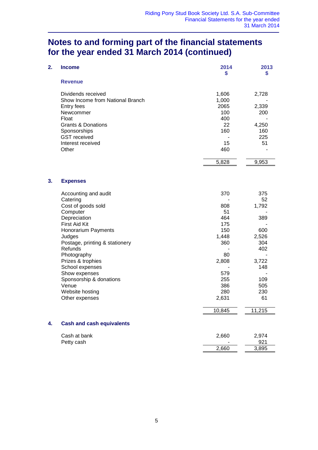### **Notes to and forming part of the financial statements for the year ended 31 March 2014 (continued)**

| 2. | <b>Income</b>                                                                                                                                                                                                                                                                                                                      | 2014<br>\$                                                                                                | 2013<br>\$                                                                                         |
|----|------------------------------------------------------------------------------------------------------------------------------------------------------------------------------------------------------------------------------------------------------------------------------------------------------------------------------------|-----------------------------------------------------------------------------------------------------------|----------------------------------------------------------------------------------------------------|
|    | <b>Revenue</b>                                                                                                                                                                                                                                                                                                                     |                                                                                                           |                                                                                                    |
|    | Dividends received<br>Show Income from National Branch<br>Entry fees<br>Newcommer<br>Float<br><b>Grants &amp; Donations</b><br>Sponsorships<br><b>GST</b> received<br>Interest received<br>Other                                                                                                                                   | 1,606<br>1,000<br>2065<br>100<br>400<br>22<br>160<br>15<br>460<br>5,828                                   | 2,728<br>2,339<br>200<br>4,250<br>160<br>225<br>51<br>9,953                                        |
| 3. | <b>Expenses</b>                                                                                                                                                                                                                                                                                                                    |                                                                                                           |                                                                                                    |
|    | Accounting and audit<br>Catering<br>Cost of goods sold<br>Computer<br>Depreciation<br>First Aid Kit<br>Honorarium Payments<br>Judges<br>Postage, printing & stationery<br>Refunds<br>Photography<br>Prizes & trophies<br>School expenses<br>Show expenses<br>Sponsorship & donations<br>Venue<br>Website hosting<br>Other expenses | 370<br>808<br>51<br>464<br>175<br>150<br>1,448<br>360<br>80<br>2,808<br>579<br>255<br>386<br>280<br>2,631 | 375<br>52<br>1,792<br>389<br>600<br>2,526<br>304<br>402<br>3,722<br>148<br>109<br>505<br>230<br>61 |
|    |                                                                                                                                                                                                                                                                                                                                    | 10,845                                                                                                    | 11,215                                                                                             |
| 4. | <b>Cash and cash equivalents</b>                                                                                                                                                                                                                                                                                                   |                                                                                                           |                                                                                                    |
|    | Cash at bank<br>Petty cash                                                                                                                                                                                                                                                                                                         | 2,660<br>2,660                                                                                            | 2,974<br>921<br>3,895                                                                              |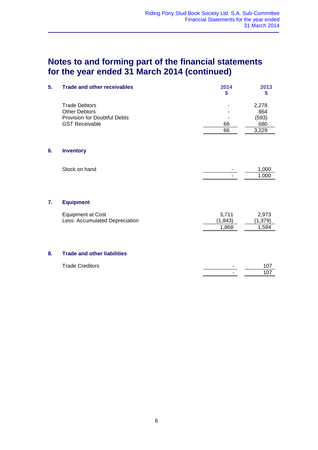## **Notes to and forming part of the financial statements for the year ended 31 March 2014 (continued)**

| 5. | <b>Trade and other receivables</b>                                                                           | 2014<br>\$ | 2013<br>S                             |
|----|--------------------------------------------------------------------------------------------------------------|------------|---------------------------------------|
|    | <b>Trade Debtors</b><br><b>Other Debtors</b><br><b>Provision for Doubtful Debts</b><br><b>GST Receivable</b> | 66<br>66   | 2,278<br>864<br>(593)<br>680<br>3,229 |
| 6. | <b>Inventory</b>                                                                                             |            |                                       |
|    | Stock on hand                                                                                                | ۰          | 1,000<br>1,000                        |

### **7. Equipment**

| Equipment at Cost              | 3.711   | 2.973   |
|--------------------------------|---------|---------|
| Less: Accumulated Depreciation | (1.843) | (1,379) |
|                                | 1.868   | 1.594   |

### **8. Trade and other liabilities**

| <b>Trade Creditors</b> | ΙΟ.             |
|------------------------|-----------------|
|                        | 10 <sup>7</sup> |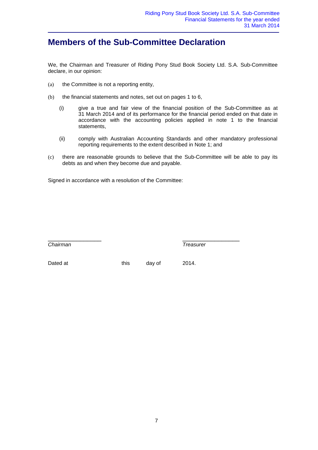### **Members of the Sub-Committee Declaration**

We, the Chairman and Treasurer of Riding Pony Stud Book Society Ltd. S.A. Sub-Committee declare, in our opinion:

- (a) the Committee is not a reporting entity,
- (b) the financial statements and notes, set out on pages 1 to 6,
	- (i) give a true and fair view of the financial position of the Sub-Committee as at 31 March 2014 and of its performance for the financial period ended on that date in accordance with the accounting policies applied in note 1 to the financial statements,
	- (ii) comply with Australian Accounting Standards and other mandatory professional reporting requirements to the extent described in Note 1; and
- (c) there are reasonable grounds to believe that the Sub-Committee will be able to pay its debts as and when they become due and payable.

Signed in accordance with a resolution of the Committee:

*Chairman Treasurer*

\_\_\_\_\_\_\_\_\_\_\_\_\_\_\_ \_\_\_\_\_\_\_\_\_\_\_\_\_\_\_\_

Dated at this day of 2014.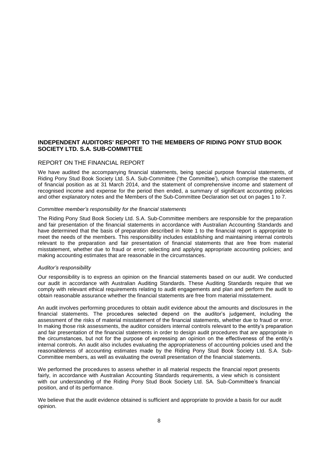### **INDEPENDENT AUDITORS' REPORT TO THE MEMBERS OF RIDING PONY STUD BOOK SOCIETY LTD. S.A. SUB-COMMITTEE**

### REPORT ON THE FINANCIAL REPORT

We have audited the accompanying financial statements, being special purpose financial statements, of Riding Pony Stud Book Society Ltd. S.A. Sub-Committee ('the Committee'), which comprise the statement of financial position as at 31 March 2014, and the statement of comprehensive income and statement of recognised income and expense for the period then ended, a summary of significant accounting policies and other explanatory notes and the Members of the Sub-Committee Declaration set out on pages 1 to 7.

### *Committee member's responsibility for the financial statements*

The Riding Pony Stud Book Society Ltd. S.A. Sub-Committee members are responsible for the preparation and fair presentation of the financial statements in accordance with Australian Accounting Standards and have determined that the basis of preparation described in Note 1 to the financial report is appropriate to meet the needs of the members. This responsibility includes establishing and maintaining internal controls relevant to the preparation and fair presentation of financial statements that are free from material misstatement, whether due to fraud or error; selecting and applying appropriate accounting policies; and making accounting estimates that are reasonable in the circumstances.

#### *Auditor's responsibility*

Our responsibility is to express an opinion on the financial statements based on our audit. We conducted our audit in accordance with Australian Auditing Standards. These Auditing Standards require that we comply with relevant ethical requirements relating to audit engagements and plan and perform the audit to obtain reasonable assurance whether the financial statements are free from material misstatement.

An audit involves performing procedures to obtain audit evidence about the amounts and disclosures in the financial statements. The procedures selected depend on the auditor's judgement, including the assessment of the risks of material misstatement of the financial statements, whether due to fraud or error. In making those risk assessments, the auditor considers internal controls relevant to the entity's preparation and fair presentation of the financial statements in order to design audit procedures that are appropriate in the circumstances, but not for the purpose of expressing an opinion on the effectiveness of the entity's internal controls. An audit also includes evaluating the appropriateness of accounting policies used and the reasonableness of accounting estimates made by the Riding Pony Stud Book Society Ltd. S.A. Sub-Committee members, as well as evaluating the overall presentation of the financial statements.

We performed the procedures to assess whether in all material respects the financial report presents fairly, in accordance with Australian Accounting Standards requirements, a view which is consistent with our understanding of the Riding Pony Stud Book Society Ltd. SA. Sub-Committee's financial position, and of its performance.

We believe that the audit evidence obtained is sufficient and appropriate to provide a basis for our audit opinion.